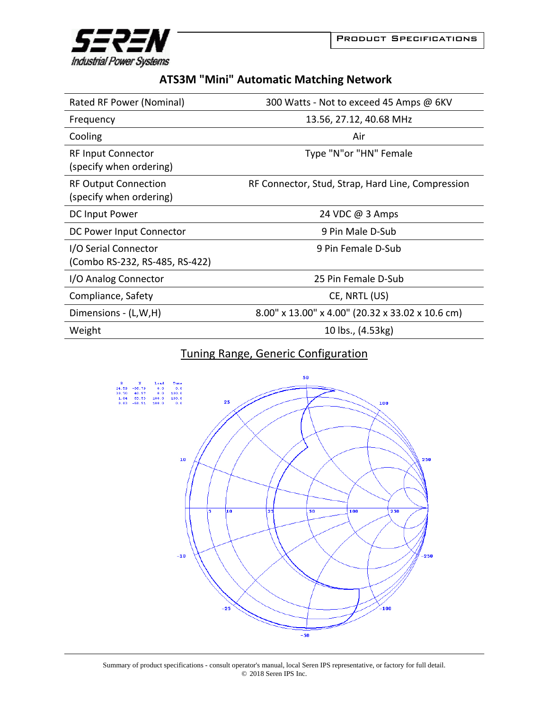



|  | <b>ATS3M "Mini" Automatic Matching Network</b> |  |
|--|------------------------------------------------|--|
|--|------------------------------------------------|--|

| Rated RF Power (Nominal)                               | 300 Watts - Not to exceed 45 Amps @ 6KV           |
|--------------------------------------------------------|---------------------------------------------------|
| Frequency                                              | 13.56, 27.12, 40.68 MHz                           |
| Cooling                                                | Air                                               |
| <b>RF Input Connector</b><br>(specify when ordering)   | Type "N"or "HN" Female                            |
| <b>RF Output Connection</b><br>(specify when ordering) | RF Connector, Stud, Strap, Hard Line, Compression |
| DC Input Power                                         | 24 VDC @ 3 Amps                                   |
| DC Power Input Connector                               | 9 Pin Male D-Sub                                  |
| I/O Serial Connector<br>(Combo RS-232, RS-485, RS-422) | 9 Pin Female D-Sub                                |
| I/O Analog Connector                                   | 25 Pin Female D-Sub                               |
| Compliance, Safety                                     | CE, NRTL (US)                                     |
| Dimensions - (L,W,H)                                   | 8.00" x 13.00" x 4.00" (20.32 x 33.02 x 10.6 cm)  |
| Weight                                                 | 10 lbs., (4.53kg)                                 |

## Tuning Range, Generic Configuration